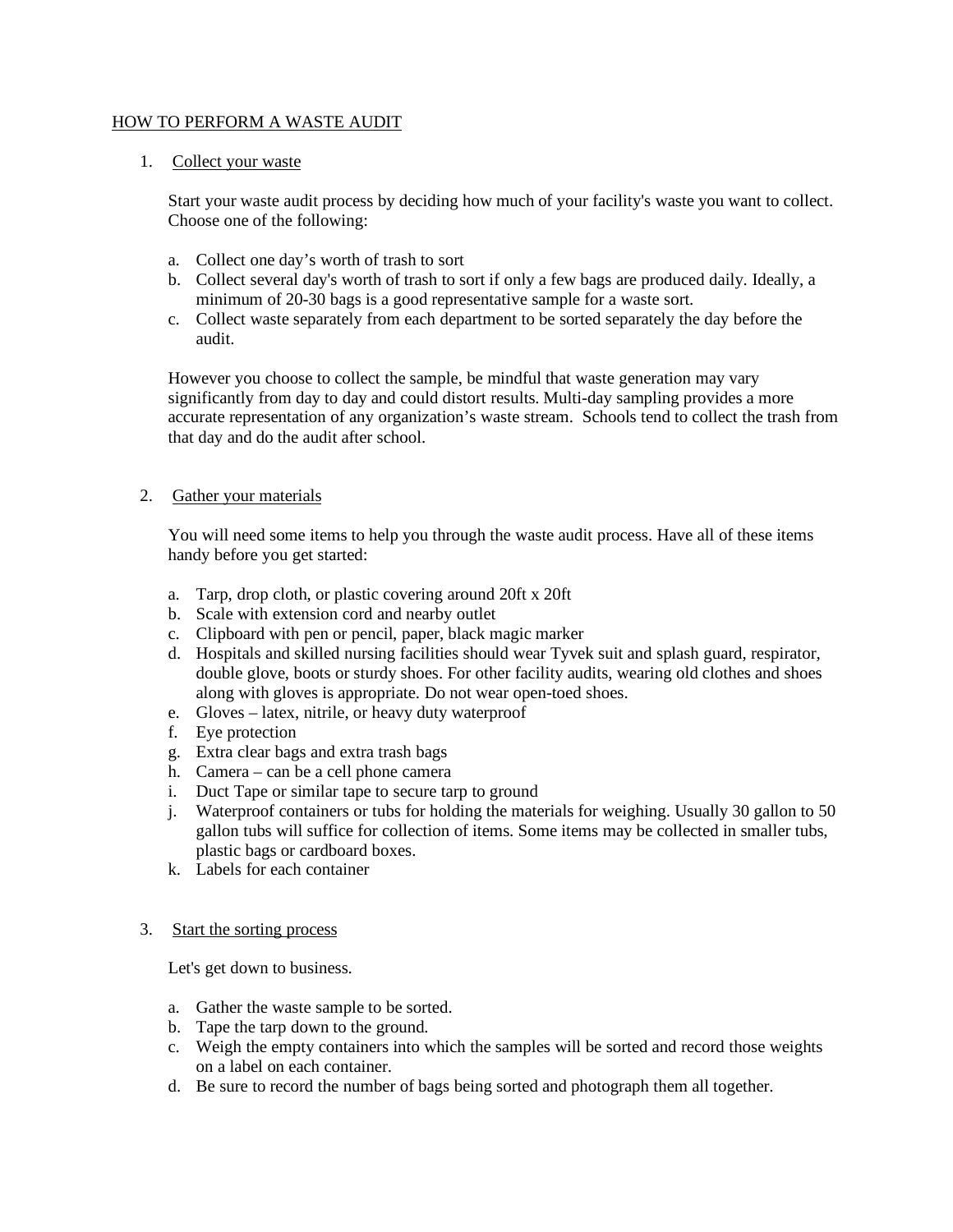## HOW TO PERFORM A WASTE AUDIT

## 1. Collect your waste

Start your waste audit process by deciding how much of your facility's waste you want to collect. Choose one of the following:

- a. Collect one day's worth of trash to sort
- b. Collect several day's worth of trash to sort if only a few bags are produced daily. Ideally, a minimum of 20-30 bags is a good representative sample for a waste sort.
- c. Collect waste separately from each department to be sorted separately the day before the audit.

However you choose to collect the sample, be mindful that waste generation may vary significantly from day to day and could distort results. Multi-day sampling provides a more accurate representation of any organization's waste stream. Schools tend to collect the trash from that day and do the audit after school.

# 2. Gather your materials

You will need some items to help you through the waste audit process. Have all of these items handy before you get started:

- a. Tarp, drop cloth, or plastic covering around 20ft x 20ft
- b. Scale with extension cord and nearby outlet
- c. Clipboard with pen or pencil, paper, black magic marker
- d. Hospitals and skilled nursing facilities should wear Tyvek suit and splash guard, respirator, double glove, boots or sturdy shoes. For other facility audits, wearing old clothes and shoes along with gloves is appropriate. Do not wear open-toed shoes.
- e. Gloves latex, nitrile, or heavy duty waterproof
- f. Eye protection
- g. Extra clear bags and extra trash bags
- h. Camera can be a cell phone camera
- i. Duct Tape or similar tape to secure tarp to ground
- j. Waterproof containers or tubs for holding the materials for weighing. Usually 30 gallon to 50 gallon tubs will suffice for collection of items. Some items may be collected in smaller tubs, plastic bags or cardboard boxes.
- k. Labels for each container
- 3. Start the sorting process

Let's get down to business.

- a. Gather the waste sample to be sorted.
- b. Tape the tarp down to the ground.
- c. Weigh the empty containers into which the samples will be sorted and record those weights on a label on each container.
- d. Be sure to record the number of bags being sorted and photograph them all together.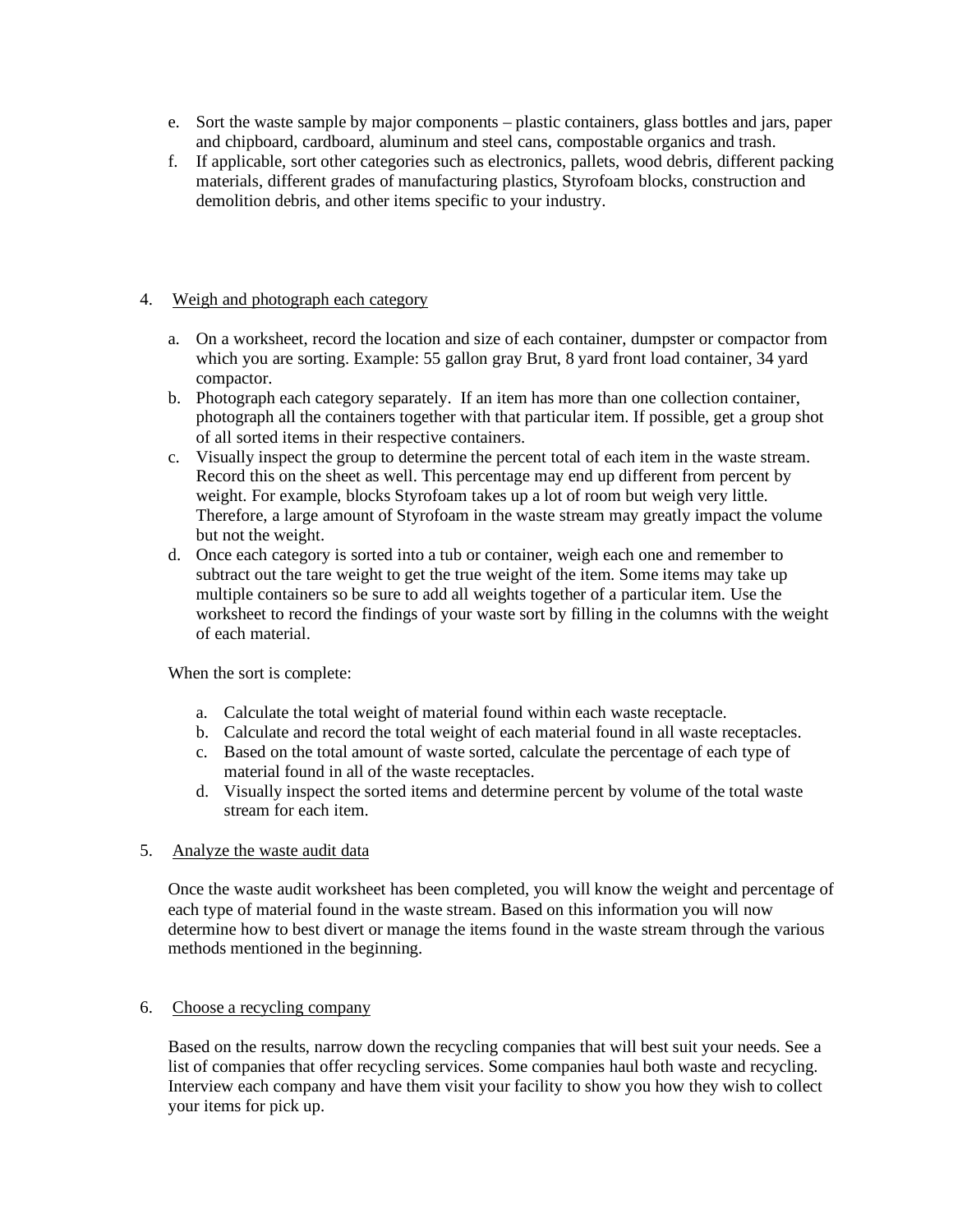- e. Sort the waste sample by major components plastic containers, glass bottles and jars, paper and chipboard, cardboard, aluminum and steel cans, compostable organics and trash.
- f. If applicable, sort other categories such as electronics, pallets, wood debris, different packing materials, different grades of manufacturing plastics, Styrofoam blocks, construction and demolition debris, and other items specific to your industry.

## 4. Weigh and photograph each category

- a. On a worksheet, record the location and size of each container, dumpster or compactor from which you are sorting. Example: 55 gallon gray Brut, 8 yard front load container, 34 yard compactor.
- b. Photograph each category separately. If an item has more than one collection container, photograph all the containers together with that particular item. If possible, get a group shot of all sorted items in their respective containers.
- c. Visually inspect the group to determine the percent total of each item in the waste stream. Record this on the sheet as well. This percentage may end up different from percent by weight. For example, blocks Styrofoam takes up a lot of room but weigh very little. Therefore, a large amount of Styrofoam in the waste stream may greatly impact the volume but not the weight.
- d. Once each category is sorted into a tub or container, weigh each one and remember to subtract out the tare weight to get the true weight of the item. Some items may take up multiple containers so be sure to add all weights together of a particular item. Use the worksheet to record the findings of your waste sort by filling in the columns with the weight of each material.

When the sort is complete:

- a. Calculate the total weight of material found within each waste receptacle.
- b. Calculate and record the total weight of each material found in all waste receptacles.
- c. Based on the total amount of waste sorted, calculate the percentage of each type of material found in all of the waste receptacles.
- d. Visually inspect the sorted items and determine percent by volume of the total waste stream for each item.

# 5. Analyze the waste audit data

Once the waste audit worksheet has been completed, you will know the weight and percentage of each type of material found in the waste stream. Based on this information you will now determine how to best divert or manage the items found in the waste stream through the various methods mentioned in the beginning.

### 6. Choose a recycling company

Based on the results, narrow down the recycling companies that will best suit your needs. See a list of companies that offer recycling services. Some companies haul both waste and recycling. Interview each company and have them visit your facility to show you how they wish to collect your items for pick up.